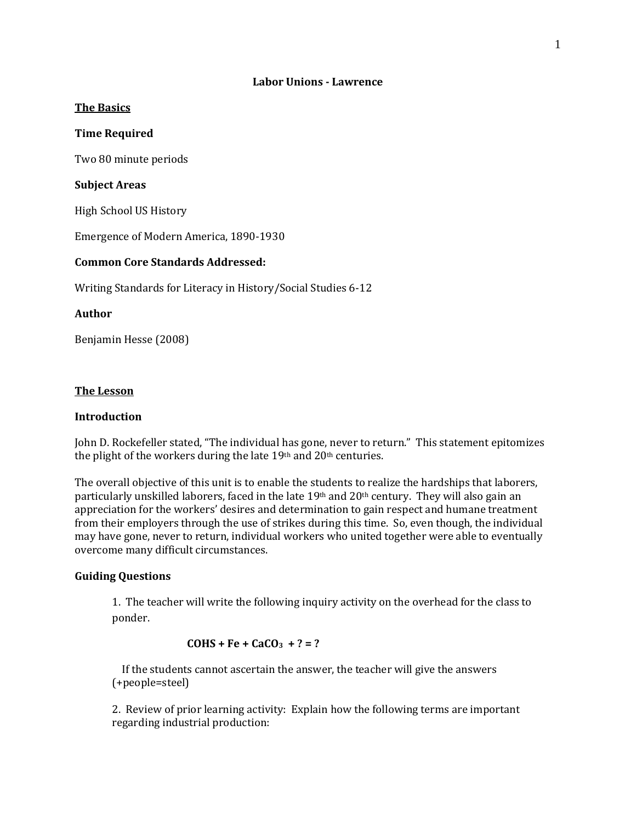#### **Labor Unions - Lawrence**

#### **The Basics**

#### **Time Required**

Two 80 minute periods

### **Subject Areas**

High School US History

Emergence of Modern America, 1890-1930

## **Common Core Standards Addressed:**

Writing Standards for Literacy in History/Social Studies 6-12

## **Author**

Benjamin Hesse (2008)

#### **The Lesson**

## **Introduction**

John D. Rockefeller stated, "The individual has gone, never to return." This statement epitomizes the plight of the workers during the late 19th and 20th centuries.

The overall objective of this unit is to enable the students to realize the hardships that laborers, particularly unskilled laborers, faced in the late 19th and 20th century. They will also gain an appreciation for the workers' desires and determination to gain respect and humane treatment from their employers through the use of strikes during this time. So, even though, the individual may have gone, never to return, individual workers who united together were able to eventually overcome many difficult circumstances.

### **Guiding Questions**

1. The teacher will write the following inquiry activity on the overhead for the class to ponder.

#### $COHS + Fe + CaCO<sub>3</sub> + ? = ?$

 If the students cannot ascertain the answer, the teacher will give the answers (+people=steel)

2. Review of prior learning activity: Explain how the following terms are important regarding industrial production: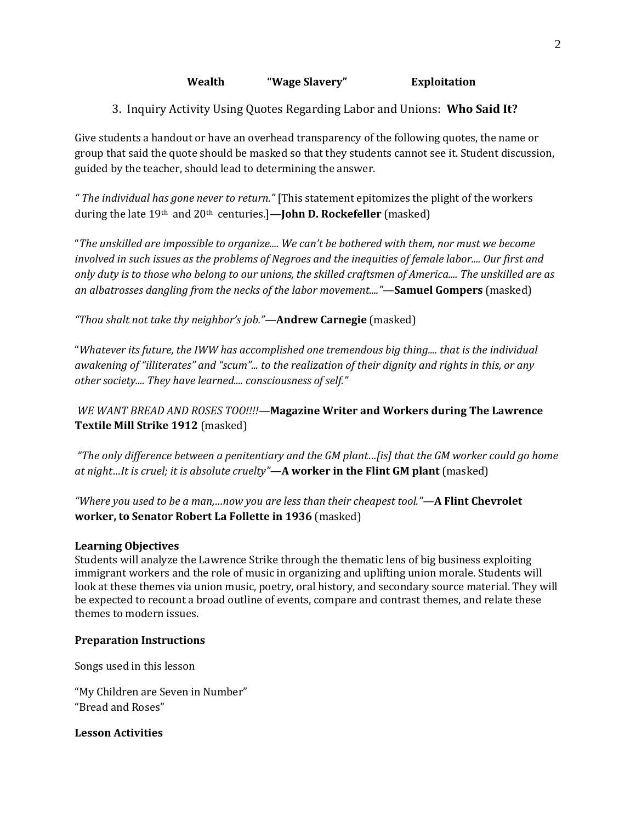## **Wealth "Wage Slavery" Exploitation**

3. Inquiry Activity Using Quotes Regarding Labor and Unions: **Who Said It?**

Give students a handout or have an overhead transparency of the following quotes, the name or group that said the quote should be masked so that they students cannot see it. Student discussion, guided by the teacher, should lead to determining the answer.

*" The individual has gone never to return."* [This statement epitomizes the plight of the workers during the late 19th and 20th centuries.]—**John D. Rockefeller** (masked)

"*The unskilled are impossible to organize.... We can't be bothered with them, nor must we become involved in such issues as the problems of Negroes and the inequities of female labor.... Our first and only duty is to those who belong to our unions, the skilled craftsmen of America.... The unskilled are as an albatrosses dangling from the necks of the labor movement...."*—**Samuel Gompers** (masked)

*"Thou shalt not take thy neighbor's job."*—**Andrew Carnegie** (masked)

"*Whatever its future, the IWW has accomplished one tremendous big thing.... that is the individual awakening of "illiterates" and "scum"... to the realization of their dignity and rights in this, or any other society.... They have learned.... consciousness of self."* 

*WE WANT BREAD AND ROSES TOO!!!!—***Magazine Writer and Workers during The Lawrence Textile Mill Strike 1912** (masked)

*"The only difference between a penitentiary and the GM plant…[is] that the GM worker could go home at night…It is cruel; it is absolute cruelty"—***A worker in the Flint GM plant** (masked)

*"Where you used to be a man,…now you are less than their cheapest tool."—***A Flint Chevrolet worker, to Senator Robert La Follette in 1936** (masked)

# **Learning Objectives**

Students will analyze the Lawrence Strike through the thematic lens of big business exploiting immigrant workers and the role of music in organizing and uplifting union morale. Students will look at these themes via union music, poetry, oral history, and secondary source material. They will be expected to recount a broad outline of events, compare and contrast themes, and relate these themes to modern issues.

## **Preparation Instructions**

Songs used in this lesson

"My Children are Seven in Number" "Bread and Roses"

**Lesson Activities**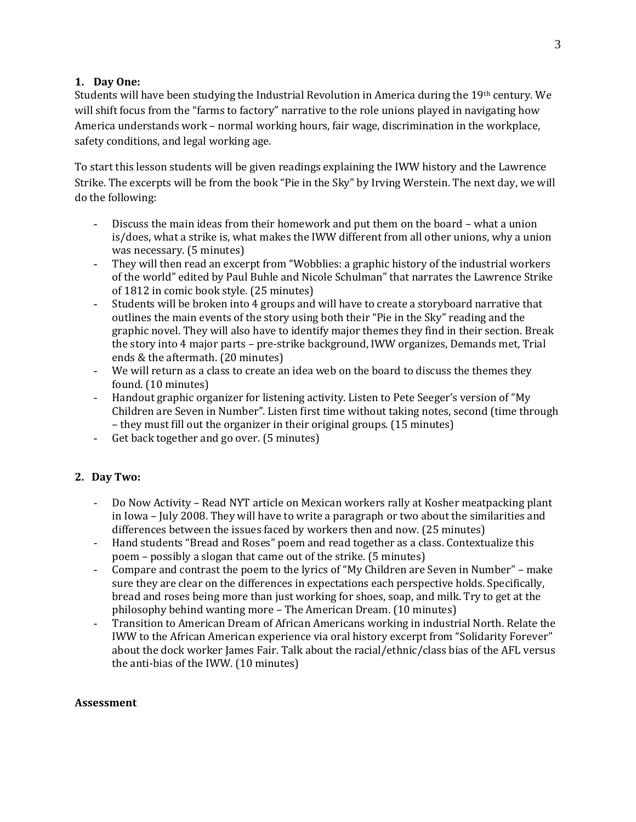## **1. Day One:**

Students will have been studying the Industrial Revolution in America during the 19th century. We will shift focus from the "farms to factory" narrative to the role unions played in navigating how America understands work – normal working hours, fair wage, discrimination in the workplace, safety conditions, and legal working age.

To start this lesson students will be given readings explaining the IWW history and the Lawrence Strike. The excerpts will be from the book "Pie in the Sky" by Irving Werstein. The next day, we will do the following:

- Discuss the main ideas from their homework and put them on the board what a union is/does, what a strike is, what makes the IWW different from all other unions, why a union was necessary. (5 minutes)
- They will then read an excerpt from "Wobblies: a graphic history of the industrial workers of the world" edited by Paul Buhle and Nicole Schulman" that narrates the Lawrence Strike of 1812 in comic book style. (25 minutes)
- Students will be broken into 4 groups and will have to create a storyboard narrative that outlines the main events of the story using both their "Pie in the Sky" reading and the graphic novel. They will also have to identify major themes they find in their section. Break the story into 4 major parts – pre-strike background, IWW organizes, Demands met, Trial ends & the aftermath. (20 minutes)
- We will return as a class to create an idea web on the board to discuss the themes they found. (10 minutes)
- Handout graphic organizer for listening activity. Listen to Pete Seeger's version of "My Children are Seven in Number". Listen first time without taking notes, second (time through – they must fill out the organizer in their original groups. (15 minutes)
- Get back together and go over. (5 minutes)

# **2. Day Two:**

- Do Now Activity Read NYT article on Mexican workers rally at Kosher meatpacking plant in Iowa – July 2008. They will have to write a paragraph or two about the similarities and differences between the issues faced by workers then and now. (25 minutes)
- Hand students "Bread and Roses" poem and read together as a class. Contextualize this poem – possibly a slogan that came out of the strike. (5 minutes)
- Compare and contrast the poem to the lyrics of "My Children are Seven in Number" make sure they are clear on the differences in expectations each perspective holds. Specifically, bread and roses being more than just working for shoes, soap, and milk. Try to get at the philosophy behind wanting more – The American Dream. (10 minutes)
- Transition to American Dream of African Americans working in industrial North. Relate the IWW to the African American experience via oral history excerpt from "Solidarity Forever" about the dock worker James Fair. Talk about the racial/ethnic/class bias of the AFL versus the anti-bias of the IWW. (10 minutes)

## **Assessment**